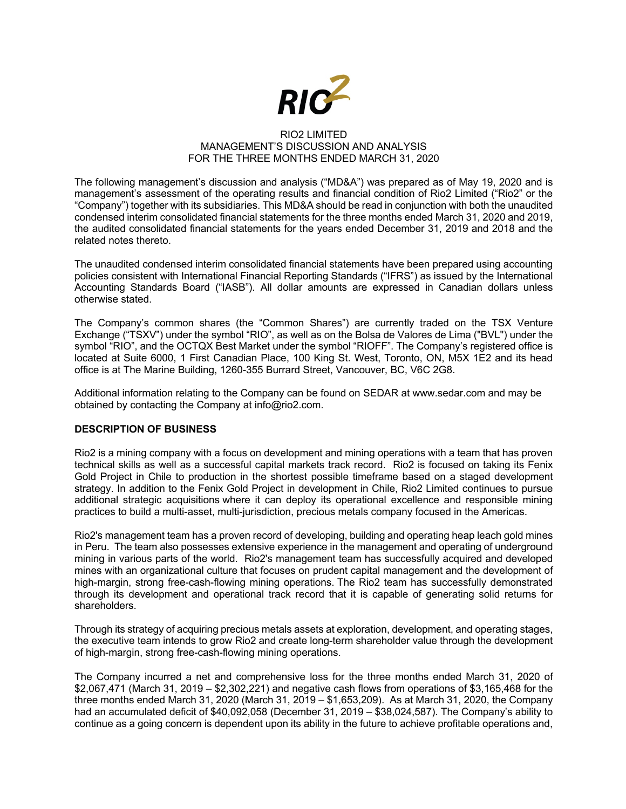

#### RIO2 LIMITED MANAGEMENT'S DISCUSSION AND ANALYSIS FOR THE THREE MONTHS ENDED MARCH 31, 2020

The following management's discussion and analysis ("MD&A") was prepared as of May 19, 2020 and is management's assessment of the operating results and financial condition of Rio2 Limited ("Rio2" or the "Company") together with its subsidiaries. This MD&A should be read in conjunction with both the unaudited condensed interim consolidated financial statements for the three months ended March 31, 2020 and 2019, the audited consolidated financial statements for the years ended December 31, 2019 and 2018 and the related notes thereto.

The unaudited condensed interim consolidated financial statements have been prepared using accounting policies consistent with International Financial Reporting Standards ("IFRS") as issued by the International Accounting Standards Board ("IASB"). All dollar amounts are expressed in Canadian dollars unless otherwise stated.

The Company's common shares (the "Common Shares") are currently traded on the TSX Venture Exchange ("TSXV") under the symbol "RIO", as well as on the Bolsa de Valores de Lima ("BVL") under the symbol "RIO", and the OCTQX Best Market under the symbol "RIOFF". The Company's registered office is located at Suite 6000, 1 First Canadian Place, 100 King St. West, Toronto, ON, M5X 1E2 and its head office is at The Marine Building, 1260-355 Burrard Street, Vancouver, BC, V6C 2G8.

Additional information relating to the Company can be found on SEDAR at www.sedar.com and may be obtained by contacting the Company at info@rio2.com.

## **DESCRIPTION OF BUSINESS**

Rio2 is a mining company with a focus on development and mining operations with a team that has proven technical skills as well as a successful capital markets track record. Rio2 is focused on taking its Fenix Gold Project in Chile to production in the shortest possible timeframe based on a staged development strategy. In addition to the Fenix Gold Project in development in Chile, Rio2 Limited continues to pursue additional strategic acquisitions where it can deploy its operational excellence and responsible mining practices to build a multi-asset, multi-jurisdiction, precious metals company focused in the Americas.

Rio2's management team has a proven record of developing, building and operating heap leach gold mines in Peru. The team also possesses extensive experience in the management and operating of underground mining in various parts of the world. Rio2's management team has successfully acquired and developed mines with an organizational culture that focuses on prudent capital management and the development of high-margin, strong free-cash-flowing mining operations. The Rio2 team has successfully demonstrated through its development and operational track record that it is capable of generating solid returns for shareholders.

Through its strategy of acquiring precious metals assets at exploration, development, and operating stages, the executive team intends to grow Rio2 and create long-term shareholder value through the development of high-margin, strong free-cash-flowing mining operations.

The Company incurred a net and comprehensive loss for the three months ended March 31, 2020 of \$2,067,471 (March 31, 2019 – \$2,302,221) and negative cash flows from operations of \$3,165,468 for the three months ended March 31, 2020 (March 31, 2019 – \$1,653,209). As at March 31, 2020, the Company had an accumulated deficit of \$40,092,058 (December 31, 2019 – \$38,024,587). The Company's ability to continue as a going concern is dependent upon its ability in the future to achieve profitable operations and,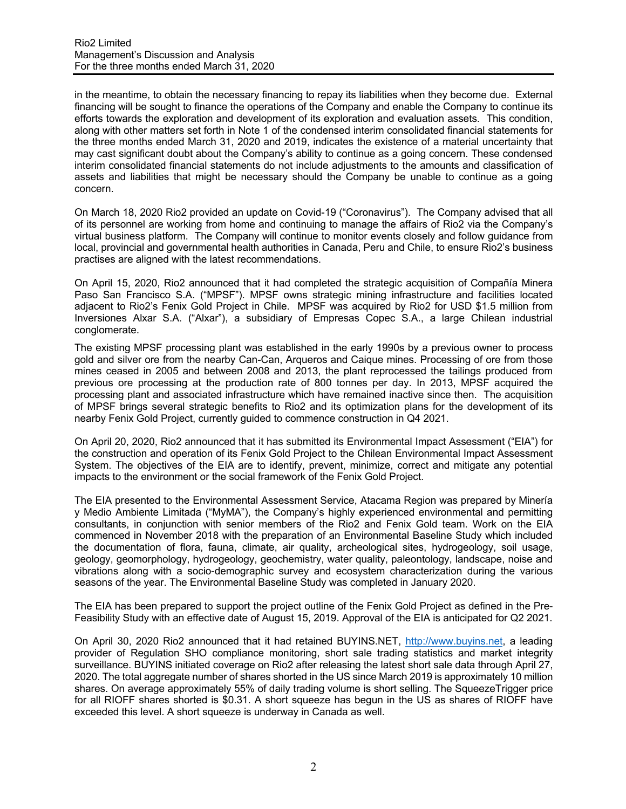in the meantime, to obtain the necessary financing to repay its liabilities when they become due. External financing will be sought to finance the operations of the Company and enable the Company to continue its efforts towards the exploration and development of its exploration and evaluation assets. This condition, along with other matters set forth in Note 1 of the condensed interim consolidated financial statements for the three months ended March 31, 2020 and 2019, indicates the existence of a material uncertainty that may cast significant doubt about the Company's ability to continue as a going concern. These condensed interim consolidated financial statements do not include adjustments to the amounts and classification of assets and liabilities that might be necessary should the Company be unable to continue as a going concern.

On March 18, 2020 Rio2 provided an update on Covid-19 ("Coronavirus"). The Company advised that all of its personnel are working from home and continuing to manage the affairs of Rio2 via the Company's virtual business platform. The Company will continue to monitor events closely and follow guidance from local, provincial and governmental health authorities in Canada, Peru and Chile, to ensure Rio2's business practises are aligned with the latest recommendations.

On April 15, 2020, Rio2 announced that it had completed the strategic acquisition of Compañía Minera Paso San Francisco S.A. ("MPSF"). MPSF owns strategic mining infrastructure and facilities located adjacent to Rio2's Fenix Gold Project in Chile. MPSF was acquired by Rio2 for USD \$1.5 million from Inversiones Alxar S.A. ("Alxar"), a subsidiary of Empresas Copec S.A., a large Chilean industrial conglomerate.

The existing MPSF processing plant was established in the early 1990s by a previous owner to process gold and silver ore from the nearby Can-Can, Arqueros and Caique mines. Processing of ore from those mines ceased in 2005 and between 2008 and 2013, the plant reprocessed the tailings produced from previous ore processing at the production rate of 800 tonnes per day. In 2013, MPSF acquired the processing plant and associated infrastructure which have remained inactive since then. The acquisition of MPSF brings several strategic benefits to Rio2 and its optimization plans for the development of its nearby Fenix Gold Project, currently guided to commence construction in Q4 2021.

On April 20, 2020, Rio2 announced that it has submitted its Environmental Impact Assessment ("EIA") for the construction and operation of its Fenix Gold Project to the Chilean Environmental Impact Assessment System. The objectives of the EIA are to identify, prevent, minimize, correct and mitigate any potential impacts to the environment or the social framework of the Fenix Gold Project.

The EIA presented to the Environmental Assessment Service, Atacama Region was prepared by Minería y Medio Ambiente Limitada ("MyMA"), the Company's highly experienced environmental and permitting consultants, in conjunction with senior members of the Rio2 and Fenix Gold team. Work on the EIA commenced in November 2018 with the preparation of an Environmental Baseline Study which included the documentation of flora, fauna, climate, air quality, archeological sites, hydrogeology, soil usage, geology, geomorphology, hydrogeology, geochemistry, water quality, paleontology, landscape, noise and vibrations along with a socio-demographic survey and ecosystem characterization during the various seasons of the year. The Environmental Baseline Study was completed in January 2020.

The EIA has been prepared to support the project outline of the Fenix Gold Project as defined in the Pre-Feasibility Study with an effective date of August 15, 2019. Approval of the EIA is anticipated for Q2 2021.

On April 30, 2020 Rio2 announced that it had retained BUYINS.NET, http://www.buyins.net, a leading provider of Regulation SHO compliance monitoring, short sale trading statistics and market integrity surveillance. BUYINS initiated coverage on Rio2 after releasing the latest short sale data through April 27, 2020. The total aggregate number of shares shorted in the US since March 2019 is approximately 10 million shares. On average approximately 55% of daily trading volume is short selling. The SqueezeTrigger price for all RIOFF shares shorted is \$0.31. A short squeeze has begun in the US as shares of RIOFF have exceeded this level. A short squeeze is underway in Canada as well.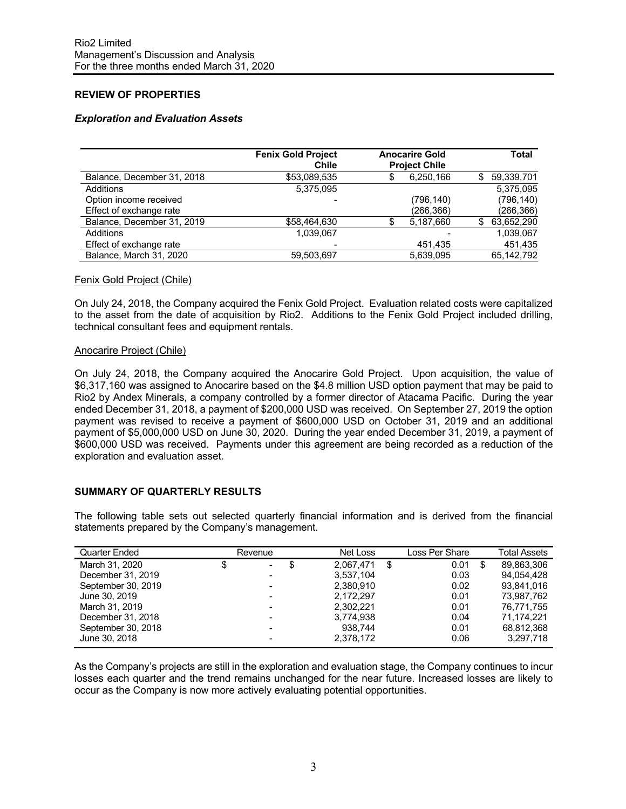# **REVIEW OF PROPERTIES**

## *Exploration and Evaluation Assets*

|                            | <b>Fenix Gold Project</b><br><b>Chile</b> | <b>Anocarire Gold</b><br><b>Project Chile</b> |   | Total      |
|----------------------------|-------------------------------------------|-----------------------------------------------|---|------------|
| Balance, December 31, 2018 | \$53,089,535                              | 6,250,166                                     | S | 59,339,701 |
| Additions                  | 5,375,095                                 |                                               |   | 5.375.095  |
| Option income received     |                                           | (796, 140)                                    |   | (796, 140) |
| Effect of exchange rate    |                                           | (266,366)                                     |   | (266, 366) |
| Balance, December 31, 2019 | \$58,464,630                              | 5,187,660                                     | S | 63,652,290 |
| Additions                  | 1,039,067                                 |                                               |   | 1,039,067  |
| Effect of exchange rate    |                                           | 451,435                                       |   | 451,435    |
| Balance, March 31, 2020    | 59.503.697                                | 5.639.095                                     |   | 65,142,792 |

#### Fenix Gold Project (Chile)

On July 24, 2018, the Company acquired the Fenix Gold Project. Evaluation related costs were capitalized to the asset from the date of acquisition by Rio2. Additions to the Fenix Gold Project included drilling, technical consultant fees and equipment rentals.

### Anocarire Project (Chile)

On July 24, 2018, the Company acquired the Anocarire Gold Project. Upon acquisition, the value of \$6,317,160 was assigned to Anocarire based on the \$4.8 million USD option payment that may be paid to Rio2 by Andex Minerals, a company controlled by a former director of Atacama Pacific. During the year ended December 31, 2018, a payment of \$200,000 USD was received. On September 27, 2019 the option payment was revised to receive a payment of \$600,000 USD on October 31, 2019 and an additional payment of \$5,000,000 USD on June 30, 2020. During the year ended December 31, 2019, a payment of \$600,000 USD was received. Payments under this agreement are being recorded as a reduction of the exploration and evaluation asset.

### **SUMMARY OF QUARTERLY RESULTS**

The following table sets out selected quarterly financial information and is derived from the financial statements prepared by the Company's management.

| Quarter Ended      | Revenue                  |   | Net Loss  | Loss Per Share |   | <b>Total Assets</b> |
|--------------------|--------------------------|---|-----------|----------------|---|---------------------|
| March 31, 2020     | \$<br>$\sim$             | S | 2.067.471 | \$<br>0.01     | S | 89.863.306          |
| December 31, 2019  |                          |   | 3,537,104 | 0.03           |   | 94.054.428          |
| September 30, 2019 |                          |   | 2.380.910 | 0.02           |   | 93.841.016          |
| June 30, 2019      | $\overline{\phantom{0}}$ |   | 2.172.297 | 0.01           |   | 73.987.762          |
| March 31, 2019     | $\overline{\phantom{0}}$ |   | 2.302.221 | 0.01           |   | 76.771.755          |
| December 31, 2018  | $\overline{\phantom{0}}$ |   | 3,774,938 | 0.04           |   | 71.174.221          |
| September 30, 2018 | $\overline{\phantom{0}}$ |   | 938.744   | 0.01           |   | 68.812.368          |
| June 30, 2018      |                          |   | 2,378,172 | 0.06           |   | 3,297,718           |

As the Company's projects are still in the exploration and evaluation stage, the Company continues to incur losses each quarter and the trend remains unchanged for the near future. Increased losses are likely to occur as the Company is now more actively evaluating potential opportunities.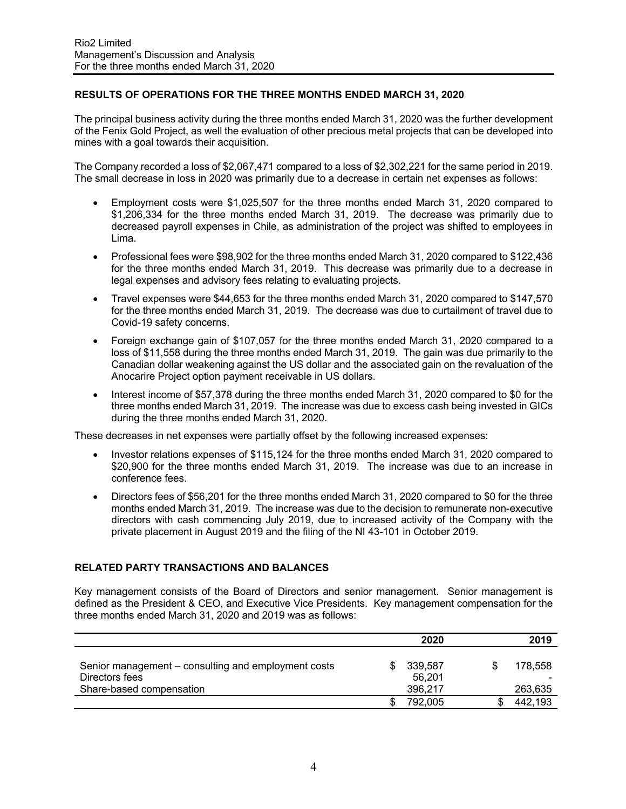# **RESULTS OF OPERATIONS FOR THE THREE MONTHS ENDED MARCH 31, 2020**

The principal business activity during the three months ended March 31, 2020 was the further development of the Fenix Gold Project, as well the evaluation of other precious metal projects that can be developed into mines with a goal towards their acquisition.

The Company recorded a loss of \$2,067,471 compared to a loss of \$2,302,221 for the same period in 2019. The small decrease in loss in 2020 was primarily due to a decrease in certain net expenses as follows:

- Employment costs were \$1,025,507 for the three months ended March 31, 2020 compared to \$1,206,334 for the three months ended March 31, 2019. The decrease was primarily due to decreased payroll expenses in Chile, as administration of the project was shifted to employees in Lima.
- Professional fees were \$98,902 for the three months ended March 31, 2020 compared to \$122,436 for the three months ended March 31, 2019. This decrease was primarily due to a decrease in legal expenses and advisory fees relating to evaluating projects.
- Travel expenses were \$44,653 for the three months ended March 31, 2020 compared to \$147,570 for the three months ended March 31, 2019. The decrease was due to curtailment of travel due to Covid-19 safety concerns.
- Foreign exchange gain of \$107,057 for the three months ended March 31, 2020 compared to a loss of \$11,558 during the three months ended March 31, 2019. The gain was due primarily to the Canadian dollar weakening against the US dollar and the associated gain on the revaluation of the Anocarire Project option payment receivable in US dollars.
- Interest income of \$57,378 during the three months ended March 31, 2020 compared to \$0 for the three months ended March 31, 2019. The increase was due to excess cash being invested in GICs during the three months ended March 31, 2020.

These decreases in net expenses were partially offset by the following increased expenses:

- Investor relations expenses of \$115,124 for the three months ended March 31, 2020 compared to \$20,900 for the three months ended March 31, 2019. The increase was due to an increase in conference fees.
- Directors fees of \$56,201 for the three months ended March 31, 2020 compared to \$0 for the three months ended March 31, 2019. The increase was due to the decision to remunerate non-executive directors with cash commencing July 2019, due to increased activity of the Company with the private placement in August 2019 and the filing of the NI 43-101 in October 2019.

## **RELATED PARTY TRANSACTIONS AND BALANCES**

Key management consists of the Board of Directors and senior management. Senior management is defined as the President & CEO, and Executive Vice Presidents. Key management compensation for the three months ended March 31, 2020 and 2019 was as follows:

|                                                     | 2020    | 2019    |
|-----------------------------------------------------|---------|---------|
| Senior management – consulting and employment costs | 339,587 | 178.558 |
| Directors fees                                      | 56,201  |         |
| Share-based compensation                            | 396.217 | 263,635 |
|                                                     | 792,005 | 442,193 |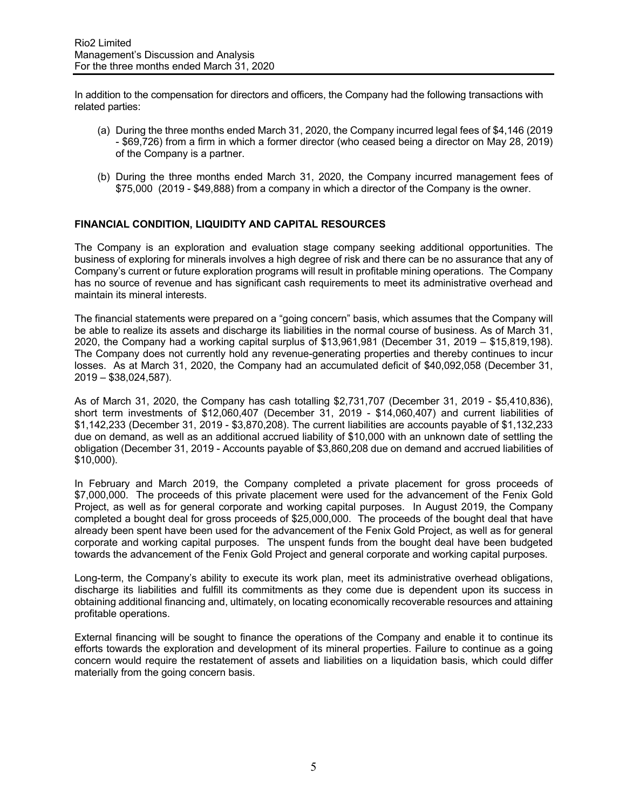In addition to the compensation for directors and officers, the Company had the following transactions with related parties:

- (a) During the three months ended March 31, 2020, the Company incurred legal fees of \$4,146 (2019 - \$69,726) from a firm in which a former director (who ceased being a director on May 28, 2019) of the Company is a partner.
- (b) During the three months ended March 31, 2020, the Company incurred management fees of \$75,000 (2019 - \$49,888) from a company in which a director of the Company is the owner.

### **FINANCIAL CONDITION, LIQUIDITY AND CAPITAL RESOURCES**

The Company is an exploration and evaluation stage company seeking additional opportunities. The business of exploring for minerals involves a high degree of risk and there can be no assurance that any of Company's current or future exploration programs will result in profitable mining operations. The Company has no source of revenue and has significant cash requirements to meet its administrative overhead and maintain its mineral interests.

The financial statements were prepared on a "going concern" basis, which assumes that the Company will be able to realize its assets and discharge its liabilities in the normal course of business. As of March 31, 2020, the Company had a working capital surplus of \$13,961,981 (December 31, 2019 – \$15,819,198). The Company does not currently hold any revenue-generating properties and thereby continues to incur losses. As at March 31, 2020, the Company had an accumulated deficit of \$40,092,058 (December 31, 2019 – \$38,024,587).

As of March 31, 2020, the Company has cash totalling \$2,731,707 (December 31, 2019 - \$5,410,836), short term investments of \$12,060,407 (December 31, 2019 - \$14,060,407) and current liabilities of \$1,142,233 (December 31, 2019 - \$3,870,208). The current liabilities are accounts payable of \$1,132,233 due on demand, as well as an additional accrued liability of \$10,000 with an unknown date of settling the obligation (December 31, 2019 - Accounts payable of \$3,860,208 due on demand and accrued liabilities of \$10,000).

In February and March 2019, the Company completed a private placement for gross proceeds of \$7,000,000. The proceeds of this private placement were used for the advancement of the Fenix Gold Project, as well as for general corporate and working capital purposes. In August 2019, the Company completed a bought deal for gross proceeds of \$25,000,000. The proceeds of the bought deal that have already been spent have been used for the advancement of the Fenix Gold Project, as well as for general corporate and working capital purposes. The unspent funds from the bought deal have been budgeted towards the advancement of the Fenix Gold Project and general corporate and working capital purposes.

Long-term, the Company's ability to execute its work plan, meet its administrative overhead obligations, discharge its liabilities and fulfill its commitments as they come due is dependent upon its success in obtaining additional financing and, ultimately, on locating economically recoverable resources and attaining profitable operations.

External financing will be sought to finance the operations of the Company and enable it to continue its efforts towards the exploration and development of its mineral properties. Failure to continue as a going concern would require the restatement of assets and liabilities on a liquidation basis, which could differ materially from the going concern basis.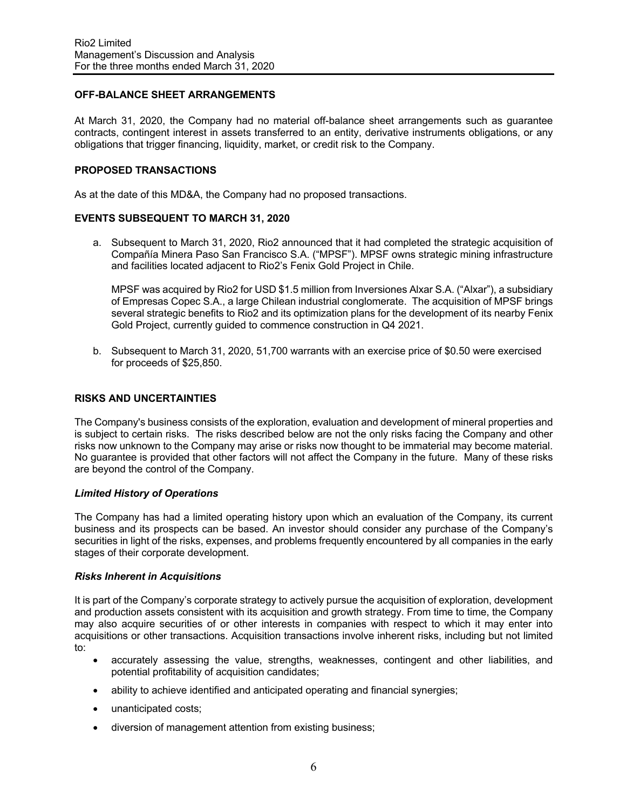## **OFF-BALANCE SHEET ARRANGEMENTS**

At March 31, 2020, the Company had no material off-balance sheet arrangements such as guarantee contracts, contingent interest in assets transferred to an entity, derivative instruments obligations, or any obligations that trigger financing, liquidity, market, or credit risk to the Company.

### **PROPOSED TRANSACTIONS**

As at the date of this MD&A, the Company had no proposed transactions.

### **EVENTS SUBSEQUENT TO MARCH 31, 2020**

a. Subsequent to March 31, 2020, Rio2 announced that it had completed the strategic acquisition of Compañía Minera Paso San Francisco S.A. ("MPSF"). MPSF owns strategic mining infrastructure and facilities located adjacent to Rio2's Fenix Gold Project in Chile.

MPSF was acquired by Rio2 for USD \$1.5 million from Inversiones Alxar S.A. ("Alxar"), a subsidiary of Empresas Copec S.A., a large Chilean industrial conglomerate. The acquisition of MPSF brings several strategic benefits to Rio2 and its optimization plans for the development of its nearby Fenix Gold Project, currently guided to commence construction in Q4 2021.

b. Subsequent to March 31, 2020, 51,700 warrants with an exercise price of \$0.50 were exercised for proceeds of \$25,850.

### **RISKS AND UNCERTAINTIES**

The Company's business consists of the exploration, evaluation and development of mineral properties and is subject to certain risks. The risks described below are not the only risks facing the Company and other risks now unknown to the Company may arise or risks now thought to be immaterial may become material. No guarantee is provided that other factors will not affect the Company in the future. Many of these risks are beyond the control of the Company.

### *Limited History of Operations*

The Company has had a limited operating history upon which an evaluation of the Company, its current business and its prospects can be based. An investor should consider any purchase of the Company's securities in light of the risks, expenses, and problems frequently encountered by all companies in the early stages of their corporate development.

### *Risks Inherent in Acquisitions*

It is part of the Company's corporate strategy to actively pursue the acquisition of exploration, development and production assets consistent with its acquisition and growth strategy. From time to time, the Company may also acquire securities of or other interests in companies with respect to which it may enter into acquisitions or other transactions. Acquisition transactions involve inherent risks, including but not limited to:

- accurately assessing the value, strengths, weaknesses, contingent and other liabilities, and potential profitability of acquisition candidates;
- ability to achieve identified and anticipated operating and financial synergies;
- unanticipated costs;
- diversion of management attention from existing business;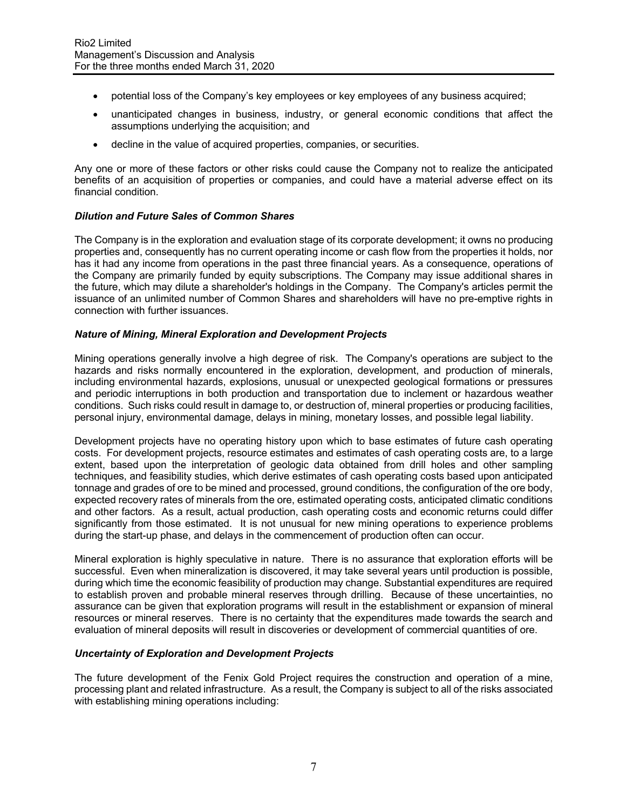- potential loss of the Company's key employees or key employees of any business acquired;
- unanticipated changes in business, industry, or general economic conditions that affect the assumptions underlying the acquisition; and
- decline in the value of acquired properties, companies, or securities.

Any one or more of these factors or other risks could cause the Company not to realize the anticipated benefits of an acquisition of properties or companies, and could have a material adverse effect on its financial condition.

### *Dilution and Future Sales of Common Shares*

The Company is in the exploration and evaluation stage of its corporate development; it owns no producing properties and, consequently has no current operating income or cash flow from the properties it holds, nor has it had any income from operations in the past three financial years. As a consequence, operations of the Company are primarily funded by equity subscriptions. The Company may issue additional shares in the future, which may dilute a shareholder's holdings in the Company. The Company's articles permit the issuance of an unlimited number of Common Shares and shareholders will have no pre-emptive rights in connection with further issuances.

### *Nature of Mining, Mineral Exploration and Development Projects*

Mining operations generally involve a high degree of risk. The Company's operations are subject to the hazards and risks normally encountered in the exploration, development, and production of minerals, including environmental hazards, explosions, unusual or unexpected geological formations or pressures and periodic interruptions in both production and transportation due to inclement or hazardous weather conditions. Such risks could result in damage to, or destruction of, mineral properties or producing facilities, personal injury, environmental damage, delays in mining, monetary losses, and possible legal liability.

Development projects have no operating history upon which to base estimates of future cash operating costs. For development projects, resource estimates and estimates of cash operating costs are, to a large extent, based upon the interpretation of geologic data obtained from drill holes and other sampling techniques, and feasibility studies, which derive estimates of cash operating costs based upon anticipated tonnage and grades of ore to be mined and processed, ground conditions, the configuration of the ore body, expected recovery rates of minerals from the ore, estimated operating costs, anticipated climatic conditions and other factors. As a result, actual production, cash operating costs and economic returns could differ significantly from those estimated. It is not unusual for new mining operations to experience problems during the start-up phase, and delays in the commencement of production often can occur.

Mineral exploration is highly speculative in nature. There is no assurance that exploration efforts will be successful. Even when mineralization is discovered, it may take several years until production is possible, during which time the economic feasibility of production may change. Substantial expenditures are required to establish proven and probable mineral reserves through drilling. Because of these uncertainties, no assurance can be given that exploration programs will result in the establishment or expansion of mineral resources or mineral reserves. There is no certainty that the expenditures made towards the search and evaluation of mineral deposits will result in discoveries or development of commercial quantities of ore.

### *Uncertainty of Exploration and Development Projects*

The future development of the Fenix Gold Project requires the construction and operation of a mine, processing plant and related infrastructure. As a result, the Company is subject to all of the risks associated with establishing mining operations including: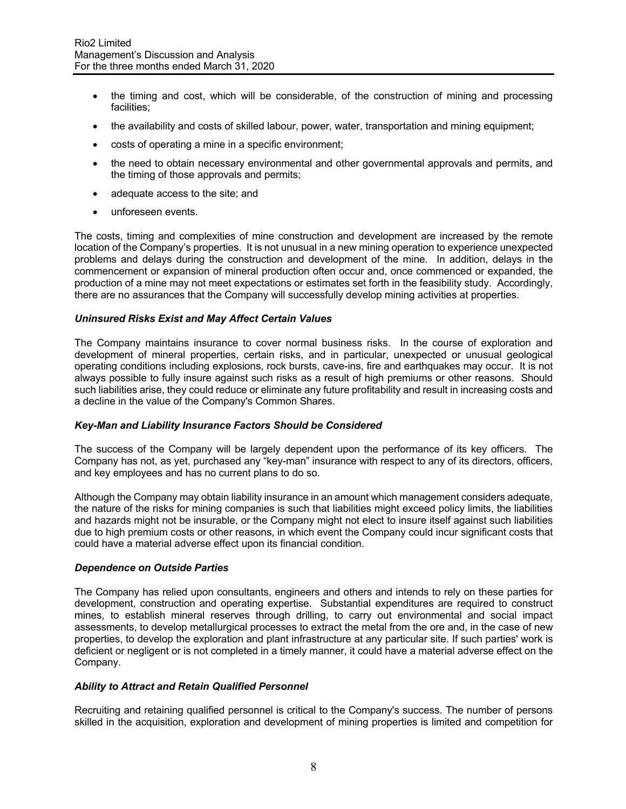- the timing and cost, which will be considerable, of the construction of mining and processing facilities;
- the availability and costs of skilled labour, power, water, transportation and mining equipment;
- costs of operating a mine in a specific environment;
- the need to obtain necessary environmental and other governmental approvals and permits, and the timing of those approvals and permits;
- adequate access to the site; and
- unforeseen events.

The costs, timing and complexities of mine construction and development are increased by the remote location of the Company's properties. It is not unusual in a new mining operation to experience unexpected problems and delays during the construction and development of the mine. In addition, delays in the commencement or expansion of mineral production often occur and, once commenced or expanded, the production of a mine may not meet expectations or estimates set forth in the feasibility study. Accordingly, there are no assurances that the Company will successfully develop mining activities at properties.

## *Uninsured Risks Exist and May Affect Certain Values*

The Company maintains insurance to cover normal business risks. In the course of exploration and development of mineral properties, certain risks, and in particular, unexpected or unusual geological operating conditions including explosions, rock bursts, cave-ins, fire and earthquakes may occur. It is not always possible to fully insure against such risks as a result of high premiums or other reasons. Should such liabilities arise, they could reduce or eliminate any future profitability and result in increasing costs and a decline in the value of the Company's Common Shares.

### *Key-Man and Liability Insurance Factors Should be Considered*

The success of the Company will be largely dependent upon the performance of its key officers. The Company has not, as yet, purchased any "key-man" insurance with respect to any of its directors, officers, and key employees and has no current plans to do so.

Although the Company may obtain liability insurance in an amount which management considers adequate, the nature of the risks for mining companies is such that liabilities might exceed policy limits, the liabilities and hazards might not be insurable, or the Company might not elect to insure itself against such liabilities due to high premium costs or other reasons, in which event the Company could incur significant costs that could have a material adverse effect upon its financial condition.

### *Dependence on Outside Parties*

The Company has relied upon consultants, engineers and others and intends to rely on these parties for development, construction and operating expertise. Substantial expenditures are required to construct mines, to establish mineral reserves through drilling, to carry out environmental and social impact assessments, to develop metallurgical processes to extract the metal from the ore and, in the case of new properties, to develop the exploration and plant infrastructure at any particular site. If such parties' work is deficient or negligent or is not completed in a timely manner, it could have a material adverse effect on the Company.

### *Ability to Attract and Retain Qualified Personnel*

Recruiting and retaining qualified personnel is critical to the Company's success. The number of persons skilled in the acquisition, exploration and development of mining properties is limited and competition for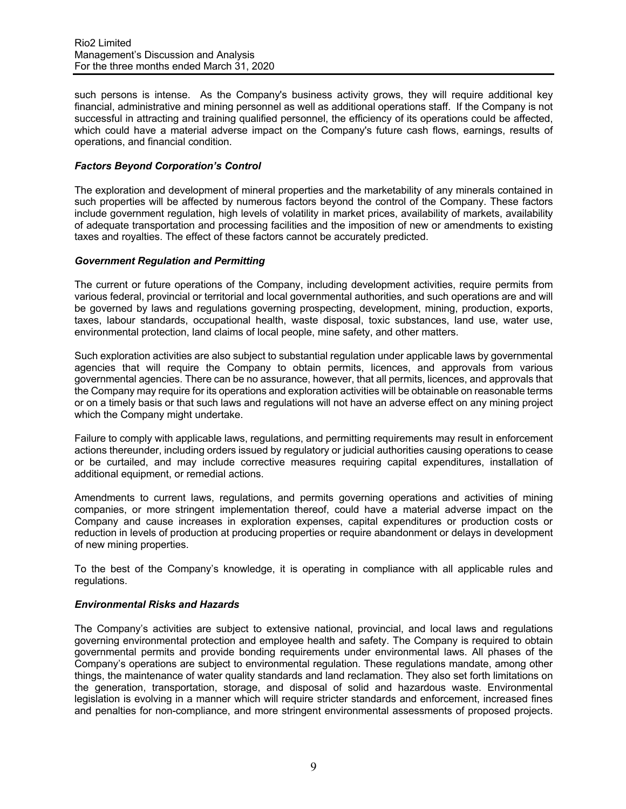such persons is intense. As the Company's business activity grows, they will require additional key financial, administrative and mining personnel as well as additional operations staff. If the Company is not successful in attracting and training qualified personnel, the efficiency of its operations could be affected, which could have a material adverse impact on the Company's future cash flows, earnings, results of operations, and financial condition.

## *Factors Beyond Corporation's Control*

The exploration and development of mineral properties and the marketability of any minerals contained in such properties will be affected by numerous factors beyond the control of the Company. These factors include government regulation, high levels of volatility in market prices, availability of markets, availability of adequate transportation and processing facilities and the imposition of new or amendments to existing taxes and royalties. The effect of these factors cannot be accurately predicted.

### *Government Regulation and Permitting*

The current or future operations of the Company, including development activities, require permits from various federal, provincial or territorial and local governmental authorities, and such operations are and will be governed by laws and regulations governing prospecting, development, mining, production, exports, taxes, labour standards, occupational health, waste disposal, toxic substances, land use, water use, environmental protection, land claims of local people, mine safety, and other matters.

Such exploration activities are also subject to substantial regulation under applicable laws by governmental agencies that will require the Company to obtain permits, licences, and approvals from various governmental agencies. There can be no assurance, however, that all permits, licences, and approvals that the Company may require for its operations and exploration activities will be obtainable on reasonable terms or on a timely basis or that such laws and regulations will not have an adverse effect on any mining project which the Company might undertake.

Failure to comply with applicable laws, regulations, and permitting requirements may result in enforcement actions thereunder, including orders issued by regulatory or judicial authorities causing operations to cease or be curtailed, and may include corrective measures requiring capital expenditures, installation of additional equipment, or remedial actions.

Amendments to current laws, regulations, and permits governing operations and activities of mining companies, or more stringent implementation thereof, could have a material adverse impact on the Company and cause increases in exploration expenses, capital expenditures or production costs or reduction in levels of production at producing properties or require abandonment or delays in development of new mining properties.

To the best of the Company's knowledge, it is operating in compliance with all applicable rules and regulations.

### *Environmental Risks and Hazards*

The Company's activities are subject to extensive national, provincial, and local laws and regulations governing environmental protection and employee health and safety. The Company is required to obtain governmental permits and provide bonding requirements under environmental laws. All phases of the Company's operations are subject to environmental regulation. These regulations mandate, among other things, the maintenance of water quality standards and land reclamation. They also set forth limitations on the generation, transportation, storage, and disposal of solid and hazardous waste. Environmental legislation is evolving in a manner which will require stricter standards and enforcement, increased fines and penalties for non-compliance, and more stringent environmental assessments of proposed projects.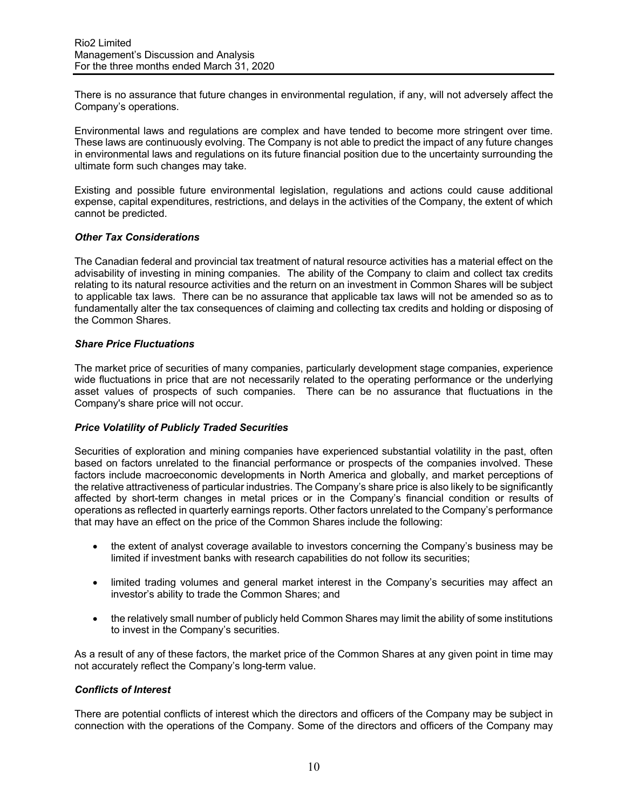There is no assurance that future changes in environmental regulation, if any, will not adversely affect the Company's operations.

Environmental laws and regulations are complex and have tended to become more stringent over time. These laws are continuously evolving. The Company is not able to predict the impact of any future changes in environmental laws and regulations on its future financial position due to the uncertainty surrounding the ultimate form such changes may take.

Existing and possible future environmental legislation, regulations and actions could cause additional expense, capital expenditures, restrictions, and delays in the activities of the Company, the extent of which cannot be predicted.

## *Other Tax Considerations*

The Canadian federal and provincial tax treatment of natural resource activities has a material effect on the advisability of investing in mining companies. The ability of the Company to claim and collect tax credits relating to its natural resource activities and the return on an investment in Common Shares will be subject to applicable tax laws. There can be no assurance that applicable tax laws will not be amended so as to fundamentally alter the tax consequences of claiming and collecting tax credits and holding or disposing of the Common Shares.

## *Share Price Fluctuations*

The market price of securities of many companies, particularly development stage companies, experience wide fluctuations in price that are not necessarily related to the operating performance or the underlying asset values of prospects of such companies. There can be no assurance that fluctuations in the Company's share price will not occur.

## *Price Volatility of Publicly Traded Securities*

Securities of exploration and mining companies have experienced substantial volatility in the past, often based on factors unrelated to the financial performance or prospects of the companies involved. These factors include macroeconomic developments in North America and globally, and market perceptions of the relative attractiveness of particular industries. The Company's share price is also likely to be significantly affected by short-term changes in metal prices or in the Company's financial condition or results of operations as reflected in quarterly earnings reports. Other factors unrelated to the Company's performance that may have an effect on the price of the Common Shares include the following:

- the extent of analyst coverage available to investors concerning the Company's business may be limited if investment banks with research capabilities do not follow its securities;
- limited trading volumes and general market interest in the Company's securities may affect an investor's ability to trade the Common Shares; and
- the relatively small number of publicly held Common Shares may limit the ability of some institutions to invest in the Company's securities.

As a result of any of these factors, the market price of the Common Shares at any given point in time may not accurately reflect the Company's long-term value.

### *Conflicts of Interest*

There are potential conflicts of interest which the directors and officers of the Company may be subject in connection with the operations of the Company. Some of the directors and officers of the Company may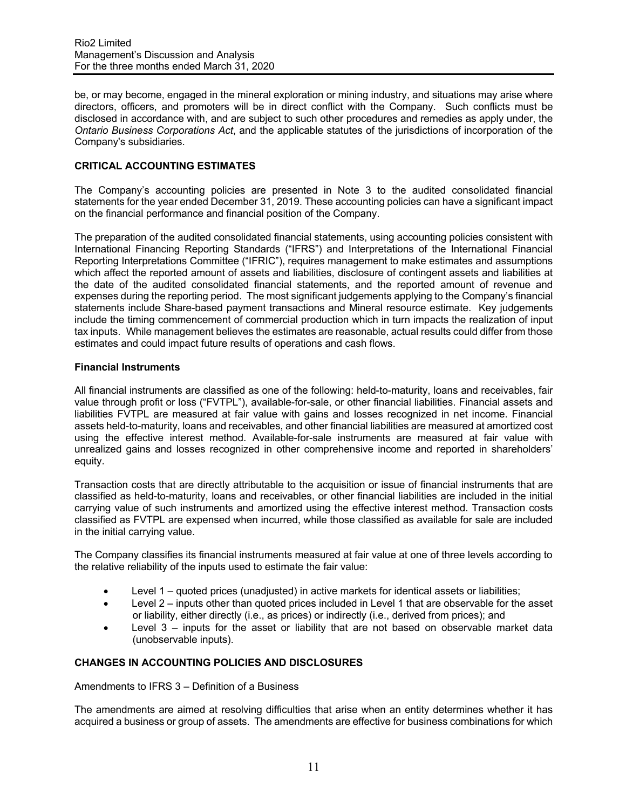be, or may become, engaged in the mineral exploration or mining industry, and situations may arise where directors, officers, and promoters will be in direct conflict with the Company. Such conflicts must be disclosed in accordance with, and are subject to such other procedures and remedies as apply under, the *Ontario Business Corporations Act*, and the applicable statutes of the jurisdictions of incorporation of the Company's subsidiaries.

# **CRITICAL ACCOUNTING ESTIMATES**

The Company's accounting policies are presented in Note 3 to the audited consolidated financial statements for the year ended December 31, 2019. These accounting policies can have a significant impact on the financial performance and financial position of the Company.

The preparation of the audited consolidated financial statements, using accounting policies consistent with International Financing Reporting Standards ("IFRS") and Interpretations of the International Financial Reporting Interpretations Committee ("IFRIC"), requires management to make estimates and assumptions which affect the reported amount of assets and liabilities, disclosure of contingent assets and liabilities at the date of the audited consolidated financial statements, and the reported amount of revenue and expenses during the reporting period. The most significant judgements applying to the Company's financial statements include Share-based payment transactions and Mineral resource estimate. Key judgements include the timing commencement of commercial production which in turn impacts the realization of input tax inputs. While management believes the estimates are reasonable, actual results could differ from those estimates and could impact future results of operations and cash flows.

## **Financial Instruments**

All financial instruments are classified as one of the following: held-to-maturity, loans and receivables, fair value through profit or loss ("FVTPL"), available-for-sale, or other financial liabilities. Financial assets and liabilities FVTPL are measured at fair value with gains and losses recognized in net income. Financial assets held-to-maturity, loans and receivables, and other financial liabilities are measured at amortized cost using the effective interest method. Available-for-sale instruments are measured at fair value with unrealized gains and losses recognized in other comprehensive income and reported in shareholders' equity.

Transaction costs that are directly attributable to the acquisition or issue of financial instruments that are classified as held-to-maturity, loans and receivables, or other financial liabilities are included in the initial carrying value of such instruments and amortized using the effective interest method. Transaction costs classified as FVTPL are expensed when incurred, while those classified as available for sale are included in the initial carrying value.

The Company classifies its financial instruments measured at fair value at one of three levels according to the relative reliability of the inputs used to estimate the fair value:

- Level 1 quoted prices (unadjusted) in active markets for identical assets or liabilities;
- Level 2 inputs other than quoted prices included in Level 1 that are observable for the asset or liability, either directly (i.e., as prices) or indirectly (i.e., derived from prices); and
- Level  $3$  inputs for the asset or liability that are not based on observable market data (unobservable inputs).

## **CHANGES IN ACCOUNTING POLICIES AND DISCLOSURES**

Amendments to IFRS 3 – Definition of a Business

The amendments are aimed at resolving difficulties that arise when an entity determines whether it has acquired a business or group of assets. The amendments are effective for business combinations for which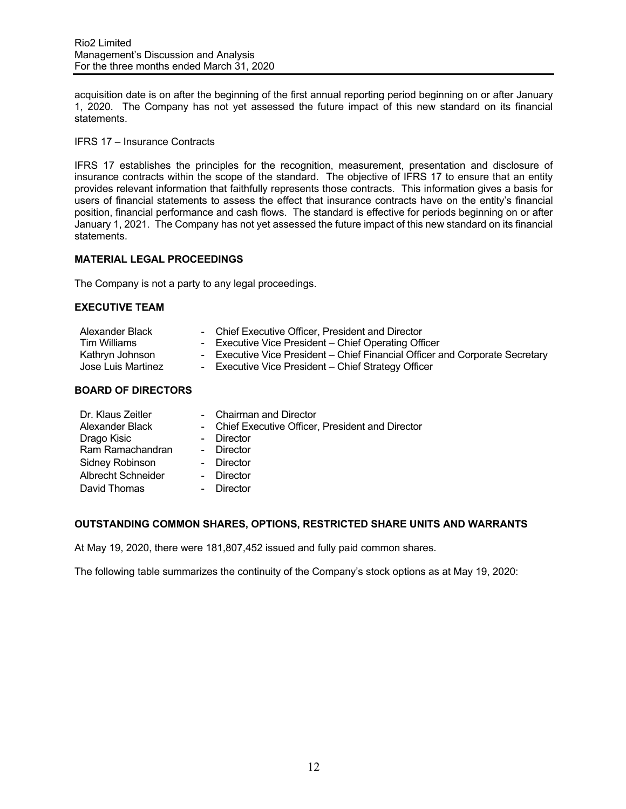acquisition date is on after the beginning of the first annual reporting period beginning on or after January 1, 2020. The Company has not yet assessed the future impact of this new standard on its financial statements.

IFRS 17 – Insurance Contracts

IFRS 17 establishes the principles for the recognition, measurement, presentation and disclosure of insurance contracts within the scope of the standard. The objective of IFRS 17 to ensure that an entity provides relevant information that faithfully represents those contracts. This information gives a basis for users of financial statements to assess the effect that insurance contracts have on the entity's financial position, financial performance and cash flows. The standard is effective for periods beginning on or after January 1, 2021. The Company has not yet assessed the future impact of this new standard on its financial statements.

## **MATERIAL LEGAL PROCEEDINGS**

The Company is not a party to any legal proceedings.

### **EXECUTIVE TEAM**

| Alexander Black    | - Chief Executive Officer. President and Director                            |
|--------------------|------------------------------------------------------------------------------|
| Tim Williams       | - Executive Vice President – Chief Operating Officer                         |
| Kathryn Johnson    | - Executive Vice President – Chief Financial Officer and Corporate Secretary |
| Jose Luis Martinez | - Executive Vice President – Chief Strategy Officer                          |
|                    |                                                                              |

## **BOARD OF DIRECTORS**

| Dr. Klaus Zeitler         | - Chairman and Director                           |
|---------------------------|---------------------------------------------------|
| Alexander Black           | - Chief Executive Officer, President and Director |
| Drago Kisic               | - Director                                        |
| Ram Ramachandran          | - Director                                        |
| Sidney Robinson           | - Director                                        |
| <b>Albrecht Schneider</b> | - Director                                        |
| David Thomas              | Director                                          |

### **OUTSTANDING COMMON SHARES, OPTIONS, RESTRICTED SHARE UNITS AND WARRANTS**

At May 19, 2020, there were 181,807,452 issued and fully paid common shares.

The following table summarizes the continuity of the Company's stock options as at May 19, 2020: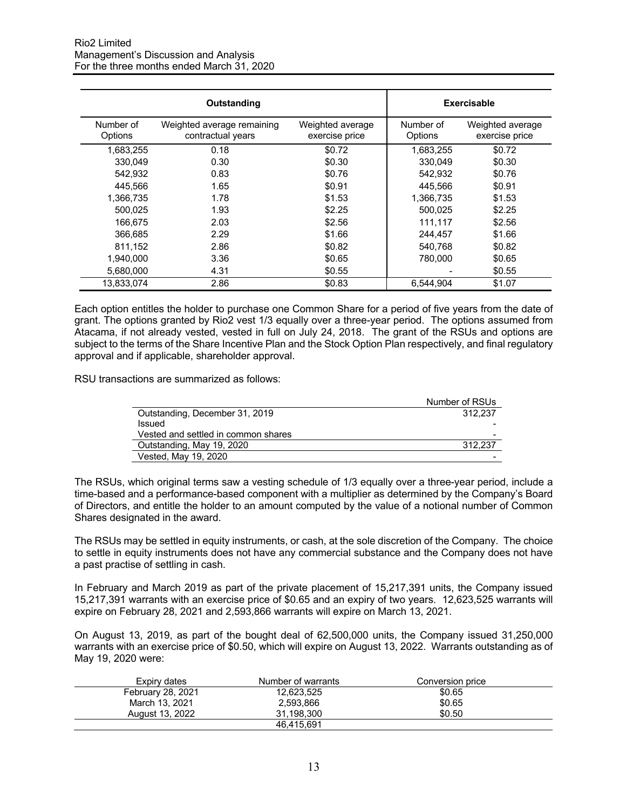|                      | Outstanding                                     | Exercisable                        |                      |                                    |
|----------------------|-------------------------------------------------|------------------------------------|----------------------|------------------------------------|
| Number of<br>Options | Weighted average remaining<br>contractual years | Weighted average<br>exercise price | Number of<br>Options | Weighted average<br>exercise price |
| 1,683,255            | 0.18                                            | \$0.72                             | 1,683,255            | \$0.72                             |
| 330.049              | 0.30                                            | \$0.30                             | 330.049              | \$0.30                             |
| 542.932              | 0.83                                            | \$0.76                             | 542,932              | \$0.76                             |
| 445.566              | 1.65                                            | \$0.91                             | 445.566              | \$0.91                             |
| 1,366,735            | 1.78                                            | \$1.53                             | 1,366,735            | \$1.53                             |
| 500,025              | 1.93                                            | \$2.25                             | 500,025              | \$2.25                             |
| 166.675              | 2.03                                            | \$2.56                             | 111,117              | \$2.56                             |
| 366,685              | 2.29                                            | \$1.66                             | 244,457              | \$1.66                             |
| 811,152              | 2.86                                            | \$0.82                             | 540,768              | \$0.82                             |
| 1.940.000            | 3.36                                            | \$0.65                             | 780,000              | \$0.65                             |
| 5,680,000            | 4.31                                            | \$0.55                             |                      | \$0.55                             |
| 13.833.074           | 2.86                                            | \$0.83                             | 6.544.904            | \$1.07                             |

Each option entitles the holder to purchase one Common Share for a period of five years from the date of grant. The options granted by Rio2 vest 1/3 equally over a three-year period. The options assumed from Atacama, if not already vested, vested in full on July 24, 2018. The grant of the RSUs and options are subject to the terms of the Share Incentive Plan and the Stock Option Plan respectively, and final regulatory approval and if applicable, shareholder approval.

RSU transactions are summarized as follows:

|                                     | Number of RSUs |
|-------------------------------------|----------------|
| Outstanding, December 31, 2019      | 312.237        |
| Issued                              |                |
| Vested and settled in common shares | -              |
| Outstanding, May 19, 2020           | 312.237        |
| Vested, May 19, 2020                | -              |

The RSUs, which original terms saw a vesting schedule of 1/3 equally over a three-year period, include a time-based and a performance-based component with a multiplier as determined by the Company's Board of Directors, and entitle the holder to an amount computed by the value of a notional number of Common Shares designated in the award.

The RSUs may be settled in equity instruments, or cash, at the sole discretion of the Company. The choice to settle in equity instruments does not have any commercial substance and the Company does not have a past practise of settling in cash.

In February and March 2019 as part of the private placement of 15,217,391 units, the Company issued 15,217,391 warrants with an exercise price of \$0.65 and an expiry of two years. 12,623,525 warrants will expire on February 28, 2021 and 2,593,866 warrants will expire on March 13, 2021.

On August 13, 2019, as part of the bought deal of 62,500,000 units, the Company issued 31,250,000 warrants with an exercise price of \$0.50, which will expire on August 13, 2022. Warrants outstanding as of May 19, 2020 were:

| Expiry dates      | Number of warrants | Conversion price |  |
|-------------------|--------------------|------------------|--|
| February 28, 2021 | 12.623.525         | \$0.65           |  |
| March 13, 2021    | 2.593.866          | \$0.65           |  |
| August 13, 2022   | 31.198.300         | \$0.50           |  |
|                   | 46.415.691         |                  |  |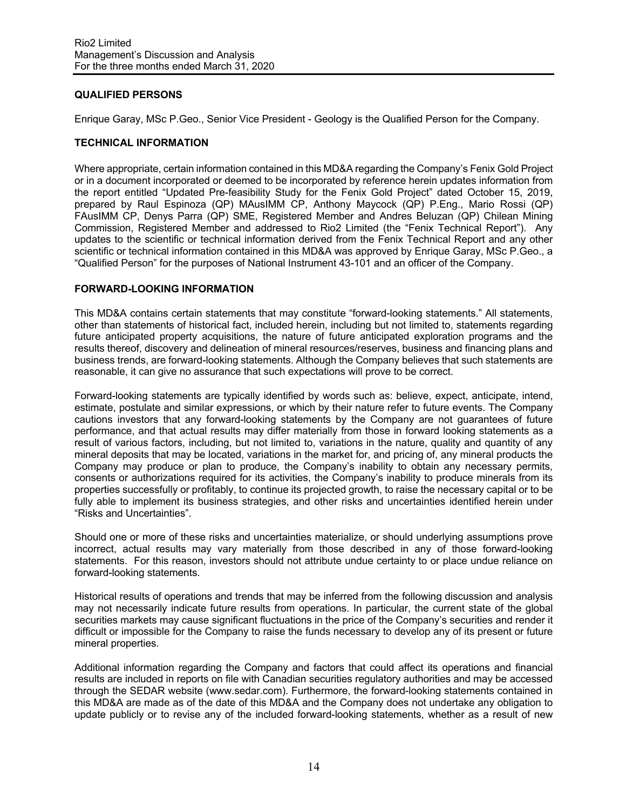## **QUALIFIED PERSONS**

Enrique Garay, MSc P.Geo., Senior Vice President - Geology is the Qualified Person for the Company.

### **TECHNICAL INFORMATION**

Where appropriate, certain information contained in this MD&A regarding the Company's Fenix Gold Project or in a document incorporated or deemed to be incorporated by reference herein updates information from the report entitled "Updated Pre-feasibility Study for the Fenix Gold Project" dated October 15, 2019, prepared by Raul Espinoza (QP) MAusIMM CP, Anthony Maycock (QP) P.Eng., Mario Rossi (QP) FAusIMM CP, Denys Parra (QP) SME, Registered Member and Andres Beluzan (QP) Chilean Mining Commission, Registered Member and addressed to Rio2 Limited (the "Fenix Technical Report"). Any updates to the scientific or technical information derived from the Fenix Technical Report and any other scientific or technical information contained in this MD&A was approved by Enrique Garay, MSc P.Geo., a "Qualified Person" for the purposes of National Instrument 43-101 and an officer of the Company.

## **FORWARD-LOOKING INFORMATION**

This MD&A contains certain statements that may constitute "forward-looking statements." All statements, other than statements of historical fact, included herein, including but not limited to, statements regarding future anticipated property acquisitions, the nature of future anticipated exploration programs and the results thereof, discovery and delineation of mineral resources/reserves, business and financing plans and business trends, are forward-looking statements. Although the Company believes that such statements are reasonable, it can give no assurance that such expectations will prove to be correct.

Forward-looking statements are typically identified by words such as: believe, expect, anticipate, intend, estimate, postulate and similar expressions, or which by their nature refer to future events. The Company cautions investors that any forward-looking statements by the Company are not guarantees of future performance, and that actual results may differ materially from those in forward looking statements as a result of various factors, including, but not limited to, variations in the nature, quality and quantity of any mineral deposits that may be located, variations in the market for, and pricing of, any mineral products the Company may produce or plan to produce, the Company's inability to obtain any necessary permits, consents or authorizations required for its activities, the Company's inability to produce minerals from its properties successfully or profitably, to continue its projected growth, to raise the necessary capital or to be fully able to implement its business strategies, and other risks and uncertainties identified herein under "Risks and Uncertainties".

Should one or more of these risks and uncertainties materialize, or should underlying assumptions prove incorrect, actual results may vary materially from those described in any of those forward-looking statements. For this reason, investors should not attribute undue certainty to or place undue reliance on forward-looking statements.

Historical results of operations and trends that may be inferred from the following discussion and analysis may not necessarily indicate future results from operations. In particular, the current state of the global securities markets may cause significant fluctuations in the price of the Company's securities and render it difficult or impossible for the Company to raise the funds necessary to develop any of its present or future mineral properties.

Additional information regarding the Company and factors that could affect its operations and financial results are included in reports on file with Canadian securities regulatory authorities and may be accessed through the SEDAR website (www.sedar.com). Furthermore, the forward-looking statements contained in this MD&A are made as of the date of this MD&A and the Company does not undertake any obligation to update publicly or to revise any of the included forward-looking statements, whether as a result of new